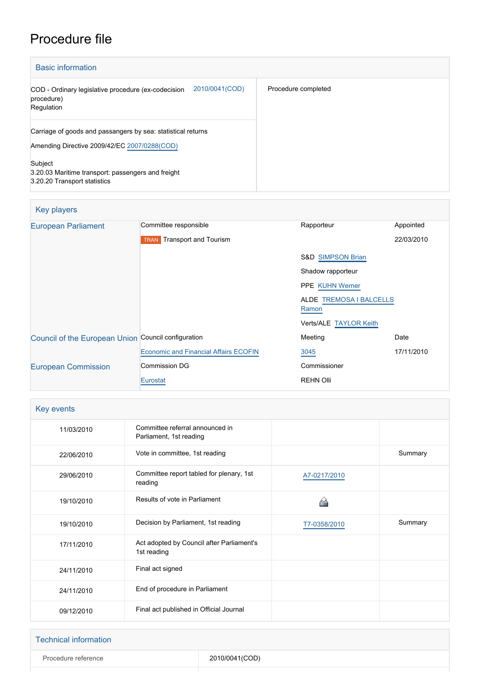## Procedure file

| <b>Basic information</b>                                                                                     |                     |
|--------------------------------------------------------------------------------------------------------------|---------------------|
| 2010/0041(COD)<br>COD - Ordinary legislative procedure (ex-codecision<br>procedure)<br>Regulation            | Procedure completed |
| Carriage of goods and passangers by sea: statistical returns<br>Amending Directive 2009/42/EC 2007/0288(COD) |                     |
| Subject<br>3.20.03 Maritime transport: passengers and freight<br>3.20.20 Transport statistics                |                     |

| <b>Key players</b>                                  |                                              |                                  |            |
|-----------------------------------------------------|----------------------------------------------|----------------------------------|------------|
| <b>European Parliament</b>                          | Committee responsible                        | Rapporteur                       | Appointed  |
|                                                     | Transport and Tourism<br><b>TRAN</b>         |                                  | 22/03/2010 |
|                                                     |                                              | <b>S&amp;D SIMPSON Brian</b>     |            |
|                                                     |                                              | Shadow rapporteur                |            |
|                                                     |                                              | <b>PPE KUHN Werner</b>           |            |
|                                                     |                                              | ALDE TREMOSA I BALCELLS<br>Ramon |            |
|                                                     |                                              | Verts/ALE TAYLOR Keith           |            |
| Council of the European Union Council configuration |                                              | Meeting                          | Date       |
|                                                     | <b>Economic and Financial Affairs ECOFIN</b> | 3045                             | 17/11/2010 |
| <b>European Commission</b>                          | <b>Commission DG</b>                         | Commissioner                     |            |
|                                                     | Eurostat                                     | <b>REHN Olli</b>                 |            |

| Key events |                                                            |              |         |
|------------|------------------------------------------------------------|--------------|---------|
| 11/03/2010 | Committee referral announced in<br>Parliament, 1st reading |              |         |
| 22/06/2010 | Vote in committee, 1st reading                             |              | Summary |
| 29/06/2010 | Committee report tabled for plenary, 1st<br>reading        | A7-0217/2010 |         |
| 19/10/2010 | Results of vote in Parliament                              |              |         |
| 19/10/2010 | Decision by Parliament, 1st reading                        | T7-0358/2010 | Summary |
|            |                                                            |              |         |
| 17/11/2010 | Act adopted by Council after Parliament's<br>1st reading   |              |         |
| 24/11/2010 | Final act signed                                           |              |         |
| 24/11/2010 | End of procedure in Parliament                             |              |         |

| <b>Technical information</b> |                |
|------------------------------|----------------|
| Procedure reference          | 2010/0041(COD) |
|                              |                |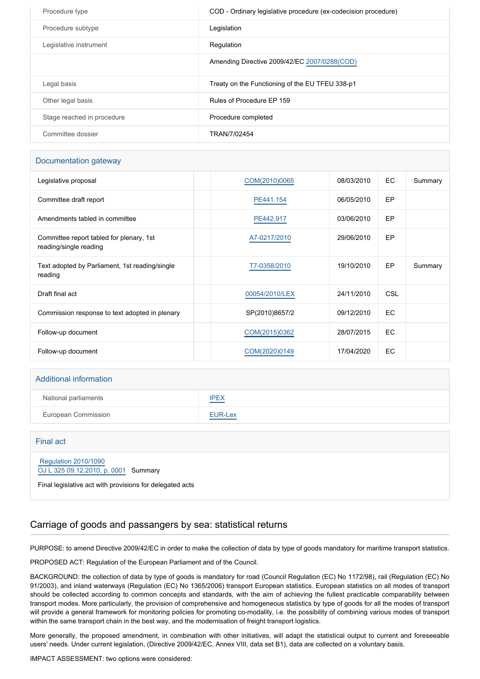| Procedure type             | COD - Ordinary legislative procedure (ex-codecision procedure) |
|----------------------------|----------------------------------------------------------------|
| Procedure subtype          | Legislation                                                    |
| Legislative instrument     | Regulation                                                     |
|                            | Amending Directive 2009/42/EC 2007/0288(COD)                   |
| Legal basis                | Treaty on the Functioning of the EU TFEU 338-p1                |
| Other legal basis          | Rules of Procedure EP 159                                      |
| Stage reached in procedure | Procedure completed                                            |
| Committee dossier          | TRAN/7/02454                                                   |

#### Documentation gateway

| Legislative proposal                                               | COM(2010)0065  | 08/03/2010 | EC.        | Summary |
|--------------------------------------------------------------------|----------------|------------|------------|---------|
| Committee draft report                                             | PE441.154      | 06/05/2010 | EP         |         |
| Amendments tabled in committee                                     | PE442.917      | 03/06/2010 | EP         |         |
| Committee report tabled for plenary, 1st<br>reading/single reading | A7-0217/2010   | 29/06/2010 | EP         |         |
| Text adopted by Parliament, 1st reading/single<br>reading          | T7-0358/2010   | 19/10/2010 | <b>EP</b>  | Summary |
| Draft final act                                                    | 00054/2010/LEX | 24/11/2010 | <b>CSL</b> |         |
| Commission response to text adopted in plenary                     | SP(2010)8657/2 | 09/12/2010 | EC         |         |
| Follow-up document                                                 | COM(2015)0362  | 28/07/2015 | EC         |         |
| Follow-up document                                                 | COM(2020)0149  | 17/04/2020 | EC         |         |

# Additional information National parliaments [IPEX](http://www.ipex.eu/IPEXL-WEB/dossier/dossier.do?code=COD&year=2010&number=0041&appLng=EN) European Commission **[EUR-Lex](http://ec.europa.eu/prelex/liste_resultats.cfm?CL=en&ReqId=0&DocType=COD&DocYear=2010&DocNum=0041)**

| Final act                                                                                                                |  |
|--------------------------------------------------------------------------------------------------------------------------|--|
| Regulation 2010/1090<br>OJ L 325 09.12.2010, p. 0001 Summary<br>Final legislative act with provisions for delegated acts |  |

## Carriage of goods and passangers by sea: statistical returns

PURPOSE: to amend Directive 2009/42/EC in order to make the collection of data by type of goods mandatory for maritime transport statistics.

PROPOSED ACT: Regulation of the European Parliament and of the Council.

BACKGROUND: the collection of data by type of goods is mandatory for road (Council Regulation (EC) No 1172/98), rail (Regulation (EC) No 91/2003), and inland waterways (Regulation (EC) No 1365/2006) transport European statistics. European statistics on all modes of transport should be collected according to common concepts and standards, with the aim of achieving the fullest practicable comparability between transport modes. More particularly, the provision of comprehensive and homogeneous statistics by type of goods for all the modes of transport will provide a general framework for monitoring policies for promoting co-modality, i.e. the possibility of combining various modes of transport within the same transport chain in the best way, and the modernisation of freight transport logistics.

More generally, the proposed amendment, in combination with other initiatives, will adapt the statistical output to current and foreseeable users' needs. Under current legislation, (Directive 2009/42/EC, Annex VIII, data set B1), data are collected on a voluntary basis.

IMPACT ASSESSMENT: two options were considered: